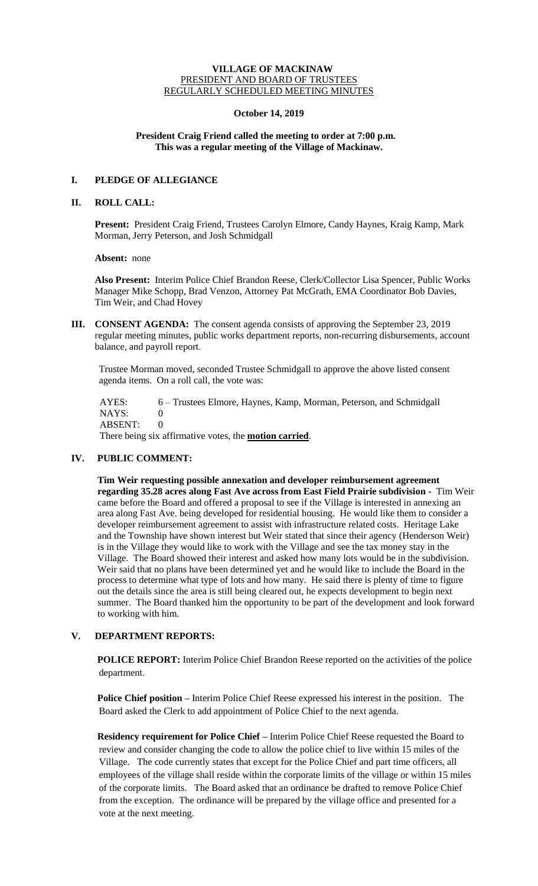#### **VILLAGE OF MACKINAW** PRESIDENT AND BOARD OF TRUSTEES REGULARLY SCHEDULED MEETING MINUTES

#### **October 14, 2019**

### **President Craig Friend called the meeting to order at 7:00 p.m. This was a regular meeting of the Village of Mackinaw.**

# **I. PLEDGE OF ALLEGIANCE**

### **II. ROLL CALL:**

**Present:** President Craig Friend, Trustees Carolyn Elmore, Candy Haynes, Kraig Kamp, Mark Morman, Jerry Peterson, and Josh Schmidgall

**Absent:** none

**Also Present:** Interim Police Chief Brandon Reese, Clerk/Collector Lisa Spencer, Public Works Manager Mike Schopp, Brad Venzon, Attorney Pat McGrath, EMA Coordinator Bob Davies, Tim Weir, and Chad Hovey

**III. CONSENT AGENDA:** The consent agenda consists of approving the September 23, 2019 regular meeting minutes, public works department reports, non-recurring disbursements, account balance, and payroll report.

Trustee Morman moved, seconded Trustee Schmidgall to approve the above listed consent agenda items. On a roll call, the vote was:

 AYES: 6 – Trustees Elmore, Haynes, Kamp, Morman, Peterson, and Schmidgall NAYS: 0 ABSENT: 0 There being six affirmative votes, the **motion carried**.

## **IV. PUBLIC COMMENT:**

**Tim Weir requesting possible annexation and developer reimbursement agreement regarding 35.28 acres along Fast Ave across from East Field Prairie subdivision -** Tim Weir came before the Board and offered a proposal to see if the Village is interested in annexing an area along Fast Ave. being developed for residential housing. He would like them to consider a developer reimbursement agreement to assist with infrastructure related costs. Heritage Lake and the Township have shown interest but Weir stated that since their agency (Henderson Weir) is in the Village they would like to work with the Village and see the tax money stay in the Village. The Board showed their interest and asked how many lots would be in the subdivision. Weir said that no plans have been determined yet and he would like to include the Board in the process to determine what type of lots and how many. He said there is plenty of time to figure out the details since the area is still being cleared out, he expects development to begin next summer. The Board thanked him the opportunity to be part of the development and look forward to working with him.

## **V. DEPARTMENT REPORTS:**

POLICE REPORT: Interim Police Chief Brandon Reese reported on the activities of the police department.

**Police Chief position –** Interim Police Chief Reese expressed his interest in the position. The Board asked the Clerk to add appointment of Police Chief to the next agenda.

**Residency requirement for Police Chief –** Interim Police Chief Reese requested the Board to review and consider changing the code to allow the police chief to live within 15 miles of the Village. The code currently states that except for the Police Chief and part time officers, all employees of the village shall reside within the corporate limits of the village or within 15 miles of the corporate limits. The Board asked that an ordinance be drafted to remove Police Chief from the exception. The ordinance will be prepared by the village office and presented for a vote at the next meeting.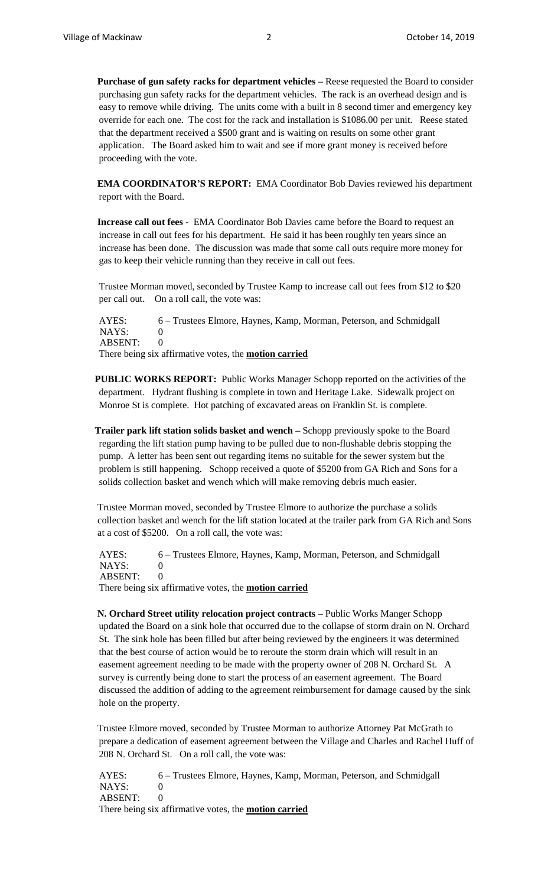**Purchase of gun safety racks for department vehicles –** Reese requested the Board to consider purchasing gun safety racks for the department vehicles. The rack is an overhead design and is easy to remove while driving. The units come with a built in 8 second timer and emergency key override for each one. The cost for the rack and installation is \$1086.00 per unit. Reese stated that the department received a \$500 grant and is waiting on results on some other grant application. The Board asked him to wait and see if more grant money is received before proceeding with the vote.

**EMA COORDINATOR'S REPORT:** EMA Coordinator Bob Davies reviewed his department report with the Board.

**Increase call out fees -** EMA Coordinator Bob Davies came before the Board to request an increase in call out fees for his department. He said it has been roughly ten years since an increase has been done. The discussion was made that some call outs require more money for gas to keep their vehicle running than they receive in call out fees.

Trustee Morman moved, seconded by Trustee Kamp to increase call out fees from \$12 to \$20 per call out. On a roll call, the vote was:

AYES: 6 – Trustees Elmore, Haynes, Kamp, Morman, Peterson, and Schmidgall NAYS: 0 ABSENT: 0 There being six affirmative votes, the **motion carried**

**PUBLIC WORKS REPORT:** Public Works Manager Schopp reported on the activities of the department. Hydrant flushing is complete in town and Heritage Lake. Sidewalk project on Monroe St is complete. Hot patching of excavated areas on Franklin St. is complete.

**Trailer park lift station solids basket and wench –** Schopp previously spoke to the Board regarding the lift station pump having to be pulled due to non-flushable debris stopping the pump. A letter has been sent out regarding items no suitable for the sewer system but the problem is still happening. Schopp received a quote of \$5200 from GA Rich and Sons for a solids collection basket and wench which will make removing debris much easier.

Trustee Morman moved, seconded by Trustee Elmore to authorize the purchase a solids collection basket and wench for the lift station located at the trailer park from GA Rich and Sons at a cost of \$5200. On a roll call, the vote was:

AYES: 6 – Trustees Elmore, Haynes, Kamp, Morman, Peterson, and Schmidgall NAYS: 0 ABSENT: 0 There being six affirmative votes, the **motion carried**

**N. Orchard Street utility relocation project contracts –** Public Works Manger Schopp updated the Board on a sink hole that occurred due to the collapse of storm drain on N. Orchard St. The sink hole has been filled but after being reviewed by the engineers it was determined that the best course of action would be to reroute the storm drain which will result in an easement agreement needing to be made with the property owner of 208 N. Orchard St. A survey is currently being done to start the process of an easement agreement. The Board discussed the addition of adding to the agreement reimbursement for damage caused by the sink hole on the property.

Trustee Elmore moved, seconded by Trustee Morman to authorize Attorney Pat McGrath to prepare a dedication of easement agreement between the Village and Charles and Rachel Huff of 208 N. Orchard St. On a roll call, the vote was:

AYES: 6 – Trustees Elmore, Haynes, Kamp, Morman, Peterson, and Schmidgall  $NAYS: 0$ ABSENT: 0 There being six affirmative votes, the **motion carried**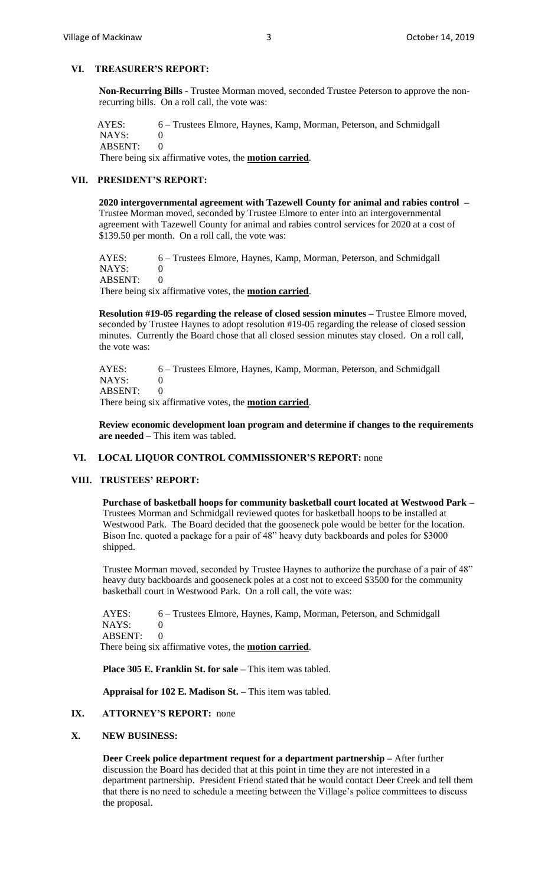### **VI. TREASURER'S REPORT:**

**Non-Recurring Bills -** Trustee Morman moved, seconded Trustee Peterson to approve the nonrecurring bills. On a roll call, the vote was:

AYES: 6 – Trustees Elmore, Haynes, Kamp, Morman, Peterson, and Schmidgall NAYS: 0 ABSENT: 0 There being six affirmative votes, the **motion carried**.

### **VII. PRESIDENT'S REPORT:**

**2020 intergovernmental agreement with Tazewell County for animal and rabies control –** Trustee Morman moved, seconded by Trustee Elmore to enter into an intergovernmental agreement with Tazewell County for animal and rabies control services for 2020 at a cost of \$139.50 per month. On a roll call, the vote was:

AYES: 6 – Trustees Elmore, Haynes, Kamp, Morman, Peterson, and Schmidgall NAYS: 0 ABSENT: 0 There being six affirmative votes, the **motion carried**.

**Resolution #19-05 regarding the release of closed session minutes –** Trustee Elmore moved, seconded by Trustee Haynes to adopt resolution #19-05 regarding the release of closed session minutes. Currently the Board chose that all closed session minutes stay closed. On a roll call, the vote was:

AYES: 6 – Trustees Elmore, Haynes, Kamp, Morman, Peterson, and Schmidgall NAYS: 0 ABSENT: 0 There being six affirmative votes, the **motion carried**.

**Review economic development loan program and determine if changes to the requirements are needed –** This item was tabled.

# **VI. LOCAL LIQUOR CONTROL COMMISSIONER'S REPORT:** none

#### **VIII. TRUSTEES' REPORT:**

**Purchase of basketball hoops for community basketball court located at Westwood Park –** Trustees Morman and Schmidgall reviewed quotes for basketball hoops to be installed at Westwood Park. The Board decided that the gooseneck pole would be better for the location. Bison Inc. quoted a package for a pair of 48" heavy duty backboards and poles for \$3000 shipped.

Trustee Morman moved, seconded by Trustee Haynes to authorize the purchase of a pair of 48" heavy duty backboards and gooseneck poles at a cost not to exceed \$3500 for the community basketball court in Westwood Park. On a roll call, the vote was:

AYES: 6 – Trustees Elmore, Haynes, Kamp, Morman, Peterson, and Schmidgall NAYS: 0 ABSENT: 0 There being six affirmative votes, the **motion carried**.

**Place 305 E. Franklin St. for sale –** This item was tabled.

**Appraisal for 102 E. Madison St. –** This item was tabled.

#### **IX. ATTORNEY'S REPORT:** none

#### **X. NEW BUSINESS:**

**Deer Creek police department request for a department partnership –** After further discussion the Board has decided that at this point in time they are not interested in a department partnership. President Friend stated that he would contact Deer Creek and tell them that there is no need to schedule a meeting between the Village's police committees to discuss the proposal.